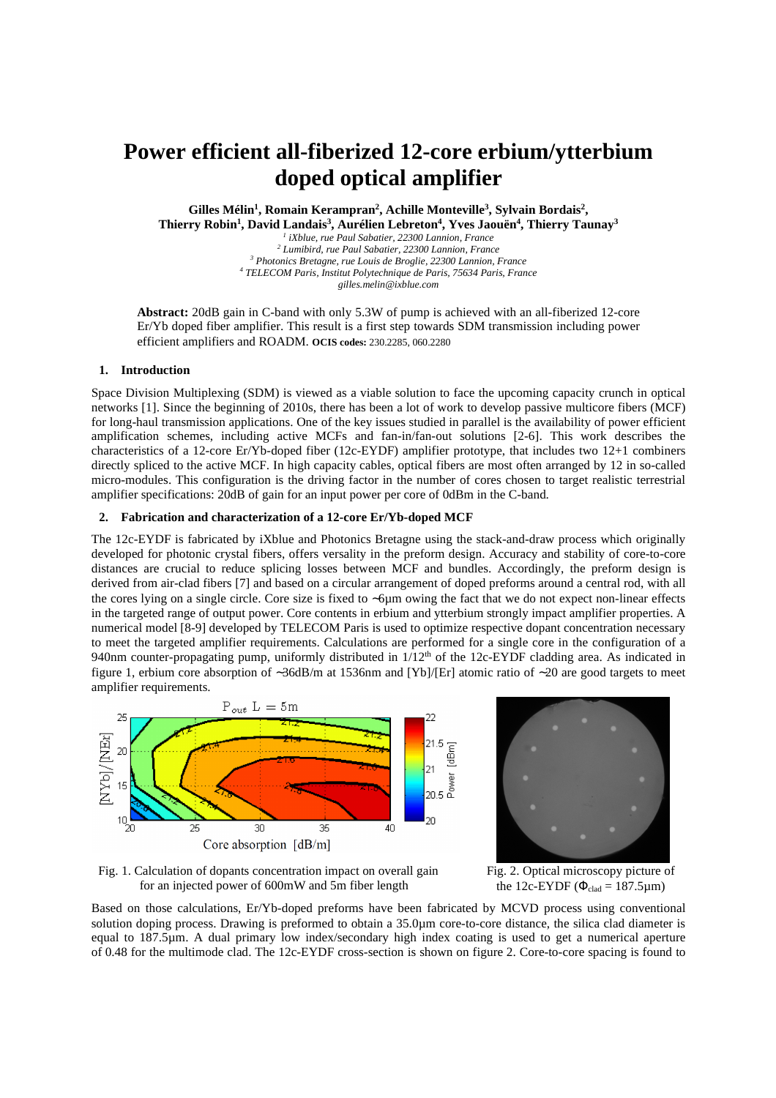# **Power efficient all-fiberized 12-core erbium/ytterbium doped optical amplifier**

**Gilles Mélin<sup>1</sup> , Romain Kerampran<sup>2</sup> , Achille Monteville<sup>3</sup> , Sylvain Bordais<sup>2</sup> ,** 

**Thierry Robin<sup>1</sup> , David Landais<sup>3</sup> , Aurélien Lebreton<sup>4</sup> , Yves Jaouën<sup>4</sup> , Thierry Taunay<sup>3</sup>**

  *iXblue, rue Paul Sabatier, 22300 Lannion, France Lumibird, rue Paul Sabatier, 22300 Lannion, France Photonics Bretagne, rue Louis de Broglie, 22300 Lannion, France TELECOM Paris, Institut Polytechnique de Paris, 75634 Paris, France gilles.melin@ixblue.com* 

**Abstract:** 20dB gain in C-band with only 5.3W of pump is achieved with an all-fiberized 12-core Er/Yb doped fiber amplifier. This result is a first step towards SDM transmission including power efficient amplifiers and ROADM. **OCIS codes:** 230.2285, 060.2280

## **1. Introduction**

Space Division Multiplexing (SDM) is viewed as a viable solution to face the upcoming capacity crunch in optical networks [1]. Since the beginning of 2010s, there has been a lot of work to develop passive multicore fibers (MCF) for long-haul transmission applications. One of the key issues studied in parallel is the availability of power efficient amplification schemes, including active MCFs and fan-in/fan-out solutions [2-6]. This work describes the characteristics of a 12-core Er/Yb-doped fiber (12c-EYDF) amplifier prototype, that includes two 12+1 combiners directly spliced to the active MCF. In high capacity cables, optical fibers are most often arranged by 12 in so-called micro-modules. This configuration is the driving factor in the number of cores chosen to target realistic terrestrial amplifier specifications: 20dB of gain for an input power per core of 0dBm in the C-band.

#### **2. Fabrication and characterization of a 12-core Er/Yb-doped MCF**

The 12c-EYDF is fabricated by iXblue and Photonics Bretagne using the stack-and-draw process which originally developed for photonic crystal fibers, offers versality in the preform design. Accuracy and stability of core-to-core distances are crucial to reduce splicing losses between MCF and bundles. Accordingly, the preform design is derived from air-clad fibers [7] and based on a circular arrangement of doped preforms around a central rod, with all the cores lying on a single circle. Core size is fixed to ∼6µm owing the fact that we do not expect non-linear effects in the targeted range of output power. Core contents in erbium and ytterbium strongly impact amplifier properties. A numerical model [8*-*9] developed by TELECOM Paris is used to optimize respective dopant concentration necessary to meet the targeted amplifier requirements. Calculations are performed for a single core in the configuration of a 940nm counter-propagating pump, uniformly distributed in  $1/12<sup>th</sup>$  of the 12c-EYDF cladding area. As indicated in figure 1, erbium core absorption of ∼36dB/m at 1536nm and [Yb]/[Er] atomic ratio of ∼20 are good targets to meet amplifier requirements.





Fig. 1. Calculation of dopants concentration impact on overall gain for an injected power of 600mW and 5m fiber length

Fig. 2. Optical microscopy picture of the 12c-EYDF ( $\Phi_{\text{clad}} = 187.5 \mu \text{m}$ )

Based on those calculations, Er/Yb-doped preforms have been fabricated by MCVD process using conventional solution doping process. Drawing is preformed to obtain a 35.0µm core-to-core distance, the silica clad diameter is equal to 187.5µm. A dual primary low index/secondary high index coating is used to get a numerical aperture of 0.48 for the multimode clad. The 12c-EYDF cross-section is shown on figure 2. Core-to-core spacing is found to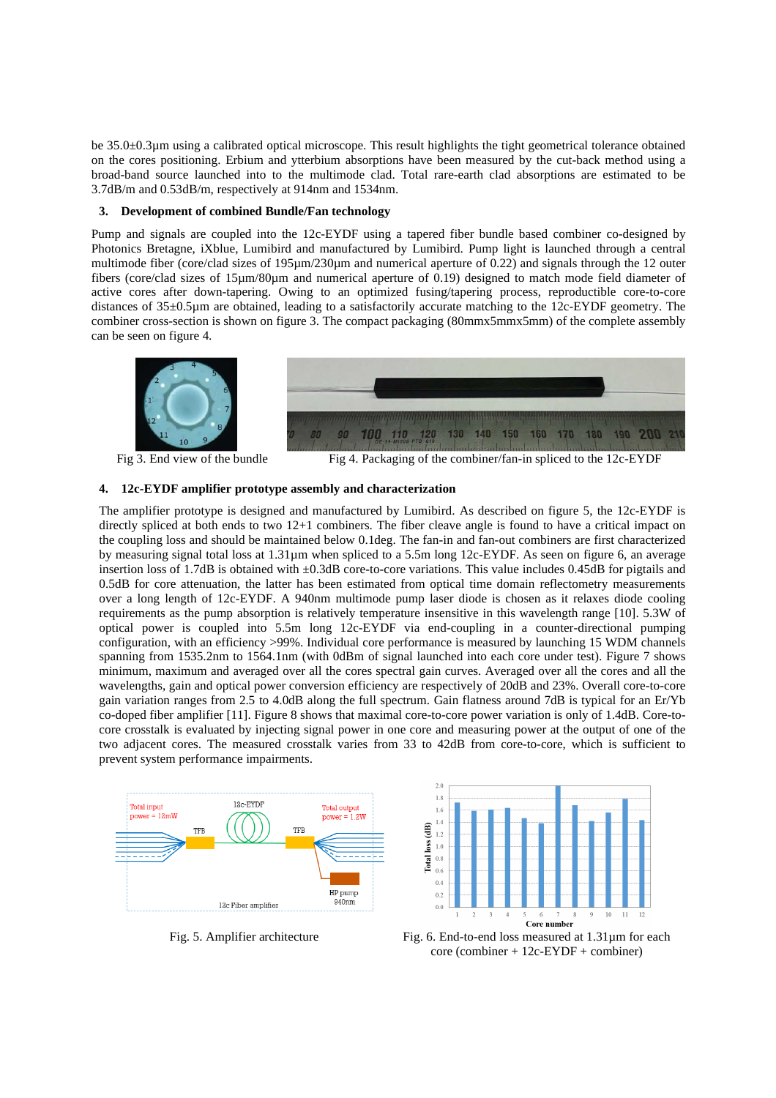be 35.0±0.3µm using a calibrated optical microscope. This result highlights the tight geometrical tolerance obtained on the cores positioning. Erbium and ytterbium absorptions have been measured by the cut-back method using a broad-band source launched into to the multimode clad. Total rare-earth clad absorptions are estimated to be 3.7dB/m and 0.53dB/m, respectively at 914nm and 1534nm.

### **3. Development of combined Bundle/Fan technology**

Pump and signals are coupled into the 12c-EYDF using a tapered fiber bundle based combiner co-designed by Photonics Bretagne, iXblue, Lumibird and manufactured by Lumibird. Pump light is launched through a central multimode fiber (core/clad sizes of 195 $\mu$ m/230 $\mu$ m and numerical aperture of 0.22) and signals through the 12 outer fibers (core/clad sizes of 15µm/80µm and numerical aperture of 0.19) designed to match mode field diameter of active cores after down-tapering. Owing to an optimized fusing/tapering process, reproductible core-to-core distances of 35±0.5µm are obtained, leading to a satisfactorily accurate matching to the 12c-EYDF geometry. The combiner cross-section is shown on figure 3. The compact packaging (80mmx5mmx5mm) of the complete assembly can be seen on figure 4.



Fig 3. End view of the bundle Fig 4. Packaging of the combiner/fan-in spliced to the 12c-EYDF

# **4. 12c-EYDF amplifier prototype assembly and characterization**

The amplifier prototype is designed and manufactured by Lumibird. As described on figure 5, the 12c-EYDF is directly spliced at both ends to two 12+1 combiners. The fiber cleave angle is found to have a critical impact on the coupling loss and should be maintained below 0.1deg. The fan-in and fan-out combiners are first characterized by measuring signal total loss at 1.31µm when spliced to a 5.5m long 12c-EYDF. As seen on figure 6, an average insertion loss of 1.7dB is obtained with ±0.3dB core-to-core variations. This value includes 0.45dB for pigtails and 0.5dB for core attenuation, the latter has been estimated from optical time domain reflectometry measurements over a long length of 12c-EYDF. A 940nm multimode pump laser diode is chosen as it relaxes diode cooling requirements as the pump absorption is relatively temperature insensitive in this wavelength range [10]. 5.3W of optical power is coupled into 5.5m long 12c-EYDF via end-coupling in a counter-directional pumping configuration, with an efficiency >99%. Individual core performance is measured by launching 15 WDM channels spanning from 1535.2nm to 1564.1nm (with 0dBm of signal launched into each core under test). Figure 7 shows minimum, maximum and averaged over all the cores spectral gain curves. Averaged over all the cores and all the wavelengths, gain and optical power conversion efficiency are respectively of 20dB and 23%. Overall core-to-core gain variation ranges from 2.5 to 4.0dB along the full spectrum. Gain flatness around 7dB is typical for an Er/Yb co-doped fiber amplifier [11]. Figure 8 shows that maximal core-to-core power variation is only of 1.4dB. Core-tocore crosstalk is evaluated by injecting signal power in one core and measuring power at the output of one of the two adjacent cores. The measured crosstalk varies from 33 to 42dB from core-to-core, which is sufficient to prevent system performance impairments.





Fig. 5. Amplifier architecture Fig. 6. End-to-end loss measured at 1.31 um for each core (combiner + 12c-EYDF + combiner)